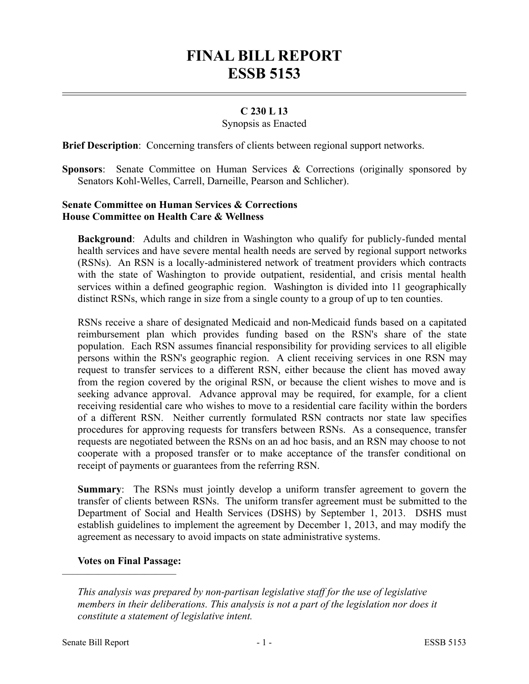# **FINAL BILL REPORT ESSB 5153**

# **C 230 L 13**

#### Synopsis as Enacted

**Brief Description**: Concerning transfers of clients between regional support networks.

**Sponsors:** Senate Committee on Human Services & Corrections (originally sponsored by Senators Kohl-Welles, Carrell, Darneille, Pearson and Schlicher).

## **Senate Committee on Human Services & Corrections House Committee on Health Care & Wellness**

**Background**: Adults and children in Washington who qualify for publicly-funded mental health services and have severe mental health needs are served by regional support networks (RSNs). An RSN is a locally-administered network of treatment providers which contracts with the state of Washington to provide outpatient, residential, and crisis mental health services within a defined geographic region. Washington is divided into 11 geographically distinct RSNs, which range in size from a single county to a group of up to ten counties.

RSNs receive a share of designated Medicaid and non-Medicaid funds based on a capitated reimbursement plan which provides funding based on the RSN's share of the state population. Each RSN assumes financial responsibility for providing services to all eligible persons within the RSN's geographic region. A client receiving services in one RSN may request to transfer services to a different RSN, either because the client has moved away from the region covered by the original RSN, or because the client wishes to move and is seeking advance approval. Advance approval may be required, for example, for a client receiving residential care who wishes to move to a residential care facility within the borders of a different RSN. Neither currently formulated RSN contracts nor state law specifies procedures for approving requests for transfers between RSNs. As a consequence, transfer requests are negotiated between the RSNs on an ad hoc basis, and an RSN may choose to not cooperate with a proposed transfer or to make acceptance of the transfer conditional on receipt of payments or guarantees from the referring RSN.

**Summary**: The RSNs must jointly develop a uniform transfer agreement to govern the transfer of clients between RSNs. The uniform transfer agreement must be submitted to the Department of Social and Health Services (DSHS) by September 1, 2013. DSHS must establish guidelines to implement the agreement by December 1, 2013, and may modify the agreement as necessary to avoid impacts on state administrative systems.

### **Votes on Final Passage:**

––––––––––––––––––––––

*This analysis was prepared by non-partisan legislative staff for the use of legislative members in their deliberations. This analysis is not a part of the legislation nor does it constitute a statement of legislative intent.*